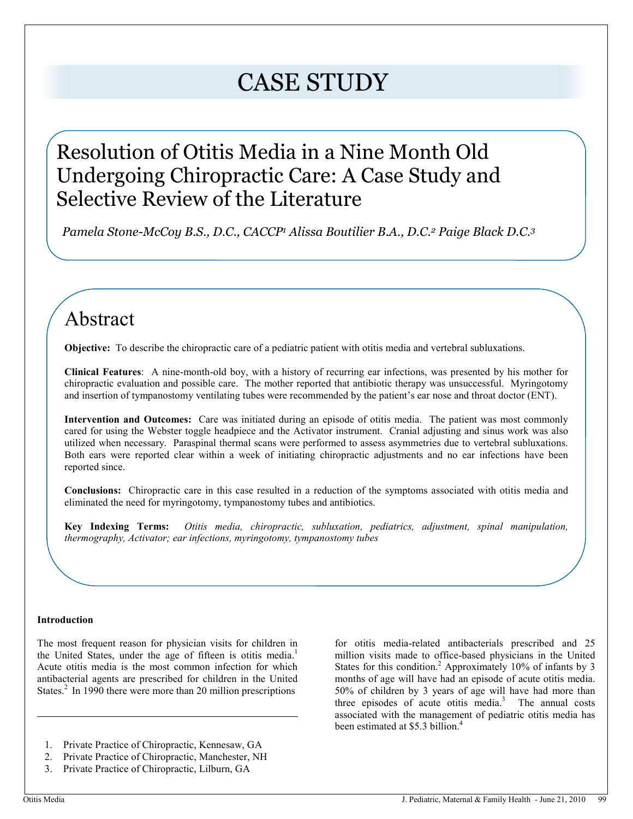# CASE STUDY

### Resolution of Otitis Media in a Nine Month Old Undergoing Chiropractic Care: A Case Study and Selective Review of the Literature

 *Pamela Stone-McCoy B.S., D.C., CACCP<sup>1</sup> Alissa Boutilier B.A., D.C.2 Paige Black D.C.<sup>3</sup>*

### Abstract

**Objective:** To describe the chiropractic care of a pediatric patient with otitis media and vertebral subluxations.

**Clinical Features**: A nine-month-old boy, with a history of recurring ear infections, was presented by his mother for chiropractic evaluation and possible care. The mother reported that antibiotic therapy was unsuccessful. Myringotomy and insertion of tympanostomy ventilating tubes were recommended by the patient's ear nose and throat doctor (ENT).

**Intervention and Outcomes:** Care was initiated during an episode of otitis media. The patient was most commonly cared for using the Webster toggle headpiece and the Activator instrument. Cranial adjusting and sinus work was also utilized when necessary. Paraspinal thermal scans were performed to assess asymmetries due to vertebral subluxations. Both ears were reported clear within a week of initiating chiropractic adjustments and no ear infections have been reported since.

**Conclusions:** Chiropractic care in this case resulted in a reduction of the symptoms associated with otitis media and eliminated the need for myringotomy, tympanostomy tubes and antibiotics.

**Key Indexing Terms:** *Otitis media, chiropractic, subluxation, pediatrics, adjustment, spinal manipulation, thermography, Activator; ear infections, myringotomy, tympanostomy tubes*

#### **Introduction**

The most frequent reason for physician visits for children in the United States, under the age of fifteen is otitis media.<sup>1</sup> Acute otitis media is the most common infection for which antibacterial agents are prescribed for children in the United States.<sup>2</sup> In 1990 there were more than 20 million prescriptions

for otitis media-related antibacterials prescribed and 25 million visits made to office-based physicians in the United States for this condition.<sup>2</sup> Approximately 10% of infants by 3 months of age will have had an episode of acute otitis media. 50% of children by 3 years of age will have had more than three episodes of acute otitis media. $3$  The annual costs associated with the management of pediatric otitis media has been estimated at \$5.3 billion.<sup>4</sup>

<sup>1.</sup> Private Practice of Chiropractic, Kennesaw, GA

<sup>2.</sup> Private Practice of Chiropractic, Manchester, NH

<sup>3.</sup> Private Practice of Chiropractic, Lilburn, GA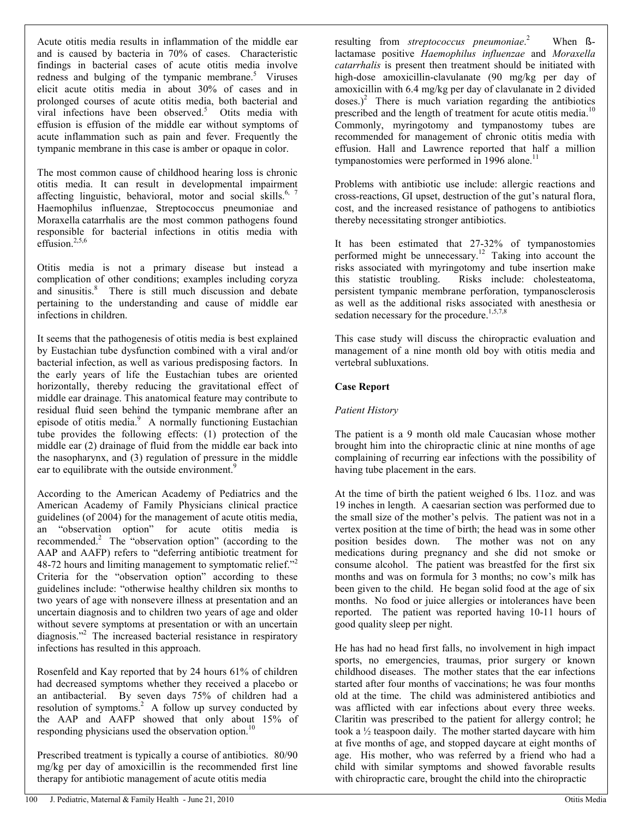Acute otitis media results in inflammation of the middle ear and is caused by bacteria in 70% of cases. Characteristic findings in bacterial cases of acute otitis media involve redness and bulging of the tympanic membrane.<sup>5</sup> Viruses elicit acute otitis media in about 30% of cases and in prolonged courses of acute otitis media, both bacterial and viral infections have been observed.<sup>5</sup> Otits media with effusion is effusion of the middle ear without symptoms of acute inflammation such as pain and fever. Frequently the tympanic membrane in this case is amber or opaque in color.

The most common cause of childhood hearing loss is chronic otitis media. It can result in developmental impairment affecting linguistic, behavioral, motor and social skills.<sup>6, 7</sup> Haemophilus influenzae, Streptococcus pneumoniae and Moraxella catarrhalis are the most common pathogens found responsible for bacterial infections in otitis media with effusion. $2,5,6$ 

Otitis media is not a primary disease but instead a complication of other conditions; examples including coryza and sinusitis.<sup>8</sup> There is still much discussion and debate pertaining to the understanding and cause of middle ear infections in children.

It seems that the pathogenesis of otitis media is best explained by Eustachian tube dysfunction combined with a viral and/or bacterial infection, as well as various predisposing factors. In the early years of life the Eustachian tubes are oriented horizontally, thereby reducing the gravitational effect of middle ear drainage. This anatomical feature may contribute to residual fluid seen behind the tympanic membrane after an episode of otitis media.<sup>9</sup> A normally functioning Eustachian tube provides the following effects: (1) protection of the middle ear (2) drainage of fluid from the middle ear back into the nasopharynx, and (3) regulation of pressure in the middle ear to equilibrate with the outside environment.<sup>9</sup>

According to the American Academy of Pediatrics and the American Academy of Family Physicians clinical practice guidelines (of 2004) for the management of acute otitis media, an "observation option" for acute otitis media is recommended. $2$  The "observation option" (according to the AAP and AAFP) refers to "deferring antibiotic treatment for 48-72 hours and limiting management to symptomatic relief." Criteria for the "observation option" according to these guidelines include: "otherwise healthy children six months to two years of age with nonsevere illness at presentation and an uncertain diagnosis and to children two years of age and older without severe symptoms at presentation or with an uncertain diagnosis."<sup>2</sup> The increased bacterial resistance in respiratory infections has resulted in this approach.

Rosenfeld and Kay reported that by 24 hours 61% of children had decreased symptoms whether they received a placebo or an antibacterial. By seven days 75% of children had a resolution of symptoms.<sup>2</sup> A follow up survey conducted by the AAP and AAFP showed that only about 15% of responding physicians used the observation option.<sup>10</sup>

Prescribed treatment is typically a course of antibiotics. 80/90 mg/kg per day of amoxicillin is the recommended first line therapy for antibiotic management of acute otitis media

lactamase positive *Haemophilus influenzae* and *Moraxella catarrhalis* is present then treatment should be initiated with high-dose amoxicillin-clavulanate (90 mg/kg per day of amoxicillin with 6.4 mg/kg per day of clavulanate in 2 divided  $doses.)<sup>2</sup>$  There is much variation regarding the antibiotics prescribed and the length of treatment for acute otitis media.<sup>10</sup> Commonly, myringotomy and tympanostomy tubes are recommended for management of chronic otitis media with effusion. Hall and Lawrence reported that half a million tympanostomies were performed in 1996 alone.<sup>11</sup>

resulting from *streptococcus pneumoniae*.

When **ß**-

Problems with antibiotic use include: allergic reactions and cross-reactions, GI upset, destruction of the gut's natural flora, cost, and the increased resistance of pathogens to antibiotics thereby necessitating stronger antibiotics.

It has been estimated that 27-32% of tympanostomies performed might be unnecessary.<sup>12</sup> Taking into account the risks associated with myringotomy and tube insertion make this statistic troubling. Risks include: cholesteatoma, persistent tympanic membrane perforation, tympanosclerosis as well as the additional risks associated with anesthesia or sedation necessary for the procedure.<sup>1,5,7,8</sup>

This case study will discuss the chiropractic evaluation and management of a nine month old boy with otitis media and vertebral subluxations.

#### **Case Report**

#### *Patient History*

The patient is a 9 month old male Caucasian whose mother brought him into the chiropractic clinic at nine months of age complaining of recurring ear infections with the possibility of having tube placement in the ears.

At the time of birth the patient weighed 6 lbs. 11oz. and was 19 inches in length. A caesarian section was performed due to the small size of the mother's pelvis. The patient was not in a vertex position at the time of birth; the head was in some other position besides down. The mother was not on any medications during pregnancy and she did not smoke or consume alcohol. The patient was breastfed for the first six months and was on formula for 3 months; no cow's milk has been given to the child. He began solid food at the age of six months. No food or juice allergies or intolerances have been reported. The patient was reported having 10-11 hours of good quality sleep per night.

He has had no head first falls, no involvement in high impact sports, no emergencies, traumas, prior surgery or known childhood diseases. The mother states that the ear infections started after four months of vaccinations; he was four months old at the time. The child was administered antibiotics and was afflicted with ear infections about every three weeks. Claritin was prescribed to the patient for allergy control; he took a ½ teaspoon daily. The mother started daycare with him at five months of age, and stopped daycare at eight months of age. His mother, who was referred by a friend who had a child with similar symptoms and showed favorable results with chiropractic care, brought the child into the chiropractic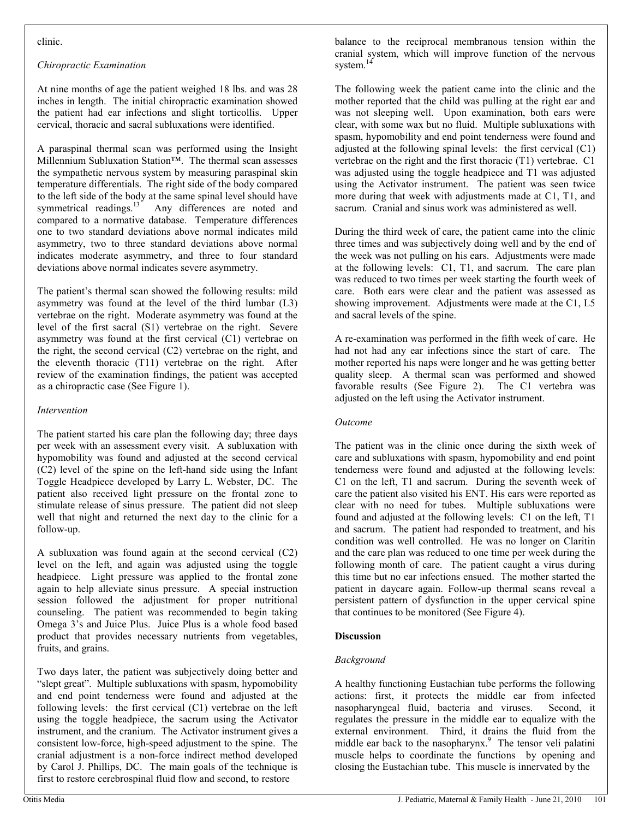#### clinic.

#### *Chiropractic Examination*

At nine months of age the patient weighed 18 lbs. and was 28 inches in length. The initial chiropractic examination showed the patient had ear infections and slight torticollis. Upper cervical, thoracic and sacral subluxations were identified.

A paraspinal thermal scan was performed using the Insight Millennium Subluxation Station™. The thermal scan assesses the sympathetic nervous system by measuring paraspinal skin temperature differentials. The right side of the body compared to the left side of the body at the same spinal level should have symmetrical readings. $^{13}$  Any differences are noted and Any differences are noted and compared to a normative database. Temperature differences one to two standard deviations above normal indicates mild asymmetry, two to three standard deviations above normal indicates moderate asymmetry, and three to four standard deviations above normal indicates severe asymmetry.

The patient's thermal scan showed the following results: mild asymmetry was found at the level of the third lumbar (L3) vertebrae on the right. Moderate asymmetry was found at the level of the first sacral (S1) vertebrae on the right. Severe asymmetry was found at the first cervical (C1) vertebrae on the right, the second cervical (C2) vertebrae on the right, and the eleventh thoracic (T11) vertebrae on the right. After review of the examination findings, the patient was accepted as a chiropractic case (See Figure 1).

#### *Intervention*

The patient started his care plan the following day; three days per week with an assessment every visit. A subluxation with hypomobility was found and adjusted at the second cervical (C2) level of the spine on the left-hand side using the Infant Toggle Headpiece developed by Larry L. Webster, DC. The patient also received light pressure on the frontal zone to stimulate release of sinus pressure. The patient did not sleep well that night and returned the next day to the clinic for a follow-up.

A subluxation was found again at the second cervical (C2) level on the left, and again was adjusted using the toggle headpiece. Light pressure was applied to the frontal zone again to help alleviate sinus pressure. A special instruction session followed the adjustment for proper nutritional counseling. The patient was recommended to begin taking Omega 3's and Juice Plus. Juice Plus is a whole food based product that provides necessary nutrients from vegetables, fruits, and grains.

Two days later, the patient was subjectively doing better and "slept great". Multiple subluxations with spasm, hypomobility and end point tenderness were found and adjusted at the following levels: the first cervical (C1) vertebrae on the left using the toggle headpiece, the sacrum using the Activator instrument, and the cranium. The Activator instrument gives a consistent low-force, high-speed adjustment to the spine. The cranial adjustment is a non-force indirect method developed by Carol J. Phillips, DC. The main goals of the technique is first to restore cerebrospinal fluid flow and second, to restore

balance to the reciprocal membranous tension within the cranial system, which will improve function of the nervous system.<sup>14</sup>

The following week the patient came into the clinic and the mother reported that the child was pulling at the right ear and was not sleeping well. Upon examination, both ears were clear, with some wax but no fluid. Multiple subluxations with spasm, hypomobility and end point tenderness were found and adjusted at the following spinal levels: the first cervical (C1) vertebrae on the right and the first thoracic (T1) vertebrae. C1 was adjusted using the toggle headpiece and T1 was adjusted using the Activator instrument. The patient was seen twice more during that week with adjustments made at C1, T1, and sacrum. Cranial and sinus work was administered as well.

During the third week of care, the patient came into the clinic three times and was subjectively doing well and by the end of the week was not pulling on his ears. Adjustments were made at the following levels: C1, T1, and sacrum. The care plan was reduced to two times per week starting the fourth week of care. Both ears were clear and the patient was assessed as showing improvement. Adjustments were made at the C1, L5 and sacral levels of the spine.

A re-examination was performed in the fifth week of care. He had not had any ear infections since the start of care. The mother reported his naps were longer and he was getting better quality sleep. A thermal scan was performed and showed favorable results (See Figure 2). The C1 vertebra was adjusted on the left using the Activator instrument.

#### *Outcome*

The patient was in the clinic once during the sixth week of care and subluxations with spasm, hypomobility and end point tenderness were found and adjusted at the following levels: C1 on the left, T1 and sacrum. During the seventh week of care the patient also visited his ENT. His ears were reported as clear with no need for tubes. Multiple subluxations were found and adjusted at the following levels: C1 on the left, T1 and sacrum. The patient had responded to treatment, and his condition was well controlled. He was no longer on Claritin and the care plan was reduced to one time per week during the following month of care. The patient caught a virus during this time but no ear infections ensued. The mother started the patient in daycare again. Follow-up thermal scans reveal a persistent pattern of dysfunction in the upper cervical spine that continues to be monitored (See Figure 4).

#### **Discussion**

#### *Background*

A healthy functioning Eustachian tube performs the following actions: first, it protects the middle ear from infected nasopharyngeal fluid, bacteria and viruses. Second, it regulates the pressure in the middle ear to equalize with the external environment. Third, it drains the fluid from the middle ear back to the nasopharynx.<sup>9</sup> The tensor veli palatini muscle helps to coordinate the functions by opening and closing the Eustachian tube. This muscle is innervated by the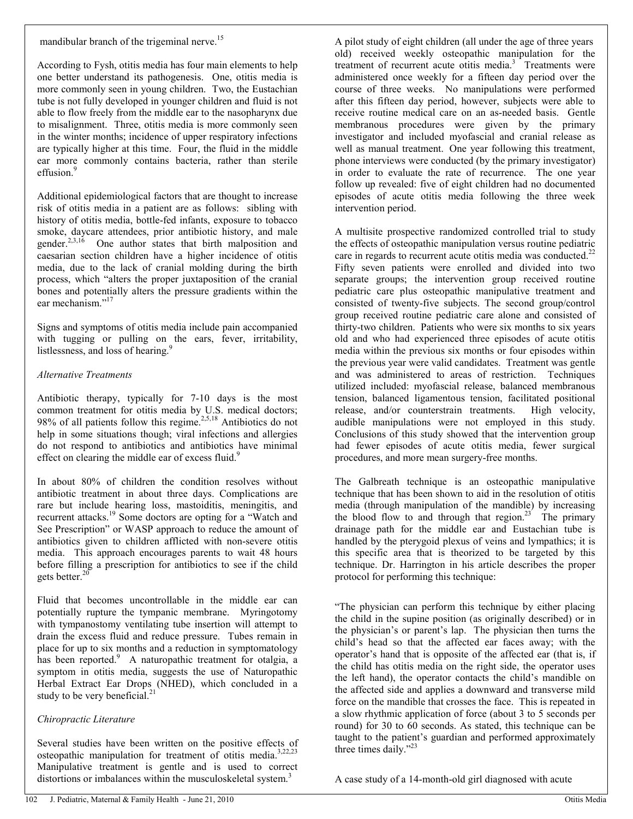#### *Chiropractic Literature*

Several studies have been written on the positive effects of osteopathic manipulation for treatment of otitis media.<sup>3,22,23</sup> Manipulative treatment is gentle and is used to correct distortions or imbalances within the musculoskeletal system.<sup>3</sup>

A pilot study of eight children (all under the age of three years old) received weekly osteopathic manipulation for the treatment of recurrent acute otitis media.<sup>3</sup> Treatments were administered once weekly for a fifteen day period over the course of three weeks. No manipulations were performed after this fifteen day period, however, subjects were able to receive routine medical care on an as-needed basis. Gentle membranous procedures were given by the primary investigator and included myofascial and cranial release as well as manual treatment. One year following this treatment, phone interviews were conducted (by the primary investigator) in order to evaluate the rate of recurrence. The one year follow up revealed: five of eight children had no documented episodes of acute otitis media following the three week

intervention period.

A multisite prospective randomized controlled trial to study the effects of osteopathic manipulation versus routine pediatric care in regards to recurrent acute otitis media was conducted.<sup>22</sup> Fifty seven patients were enrolled and divided into two separate groups; the intervention group received routine pediatric care plus osteopathic manipulative treatment and consisted of twenty-five subjects. The second group/control group received routine pediatric care alone and consisted of thirty-two children. Patients who were six months to six years old and who had experienced three episodes of acute otitis media within the previous six months or four episodes within the previous year were valid candidates. Treatment was gentle and was administered to areas of restriction. Techniques utilized included: myofascial release, balanced membranous tension, balanced ligamentous tension, facilitated positional release, and/or counterstrain treatments. High velocity, audible manipulations were not employed in this study. Conclusions of this study showed that the intervention group had fewer episodes of acute otitis media, fewer surgical procedures, and more mean surgery-free months.

The Galbreath technique is an osteopathic manipulative technique that has been shown to aid in the resolution of otitis media (through manipulation of the mandible) by increasing the blood flow to and through that region.<sup>23</sup> The primary drainage path for the middle ear and Eustachian tube is handled by the pterygoid plexus of veins and lympathics; it is this specific area that is theorized to be targeted by this technique. Dr. Harrington in his article describes the proper protocol for performing this technique:

"The physician can perform this technique by either placing the child in the supine position (as originally described) or in the physician's or parent's lap. The physician then turns the child's head so that the affected ear faces away; with the operator's hand that is opposite of the affected ear (that is, if the child has otitis media on the right side, the operator uses the left hand), the operator contacts the child's mandible on the affected side and applies a downward and transverse mild force on the mandible that crosses the face. This is repeated in a slow rhythmic application of force (about 3 to 5 seconds per round) for 30 to 60 seconds. As stated, this technique can be taught to the patient's guardian and performed approximately three times daily."<sup>23</sup>

A case study of a 14-month-old girl diagnosed with acute

## mandibular branch of the trigeminal nerve.<sup>15</sup>

According to Fysh, otitis media has four main elements to help one better understand its pathogenesis. One, otitis media is more commonly seen in young children. Two, the Eustachian tube is not fully developed in younger children and fluid is not able to flow freely from the middle ear to the nasopharynx due to misalignment. Three, otitis media is more commonly seen in the winter months; incidence of upper respiratory infections are typically higher at this time. Four, the fluid in the middle ear more commonly contains bacteria, rather than sterile effusion.<sup>9</sup>

Additional epidemiological factors that are thought to increase risk of otitis media in a patient are as follows: sibling with history of otitis media, bottle-fed infants, exposure to tobacco smoke, daycare attendees, prior antibiotic history, and male gender.<sup>2,3,16</sup> One author states that birth malposition and caesarian section children have a higher incidence of otitis media, due to the lack of cranial molding during the birth process, which "alters the proper juxtaposition of the cranial bones and potentially alters the pressure gradients within the ear mechanism."<sup>17</sup>

Signs and symptoms of otitis media include pain accompanied with tugging or pulling on the ears, fever, irritability, listlessness, and loss of hearing.<sup>9</sup>

#### *Alternative Treatments*

Antibiotic therapy, typically for 7-10 days is the most common treatment for otitis media by U.S. medical doctors; 98% of all patients follow this regime.<sup>2,5,18</sup> Antibiotics do not help in some situations though; viral infections and allergies do not respond to antibiotics and antibiotics have minimal effect on clearing the middle ear of excess fluid.<sup>9</sup>

In about 80% of children the condition resolves without antibiotic treatment in about three days. Complications are rare but include hearing loss, mastoiditis, meningitis, and recurrent attacks.<sup>19</sup> Some doctors are opting for a "Watch and See Prescription" or WASP approach to reduce the amount of antibiotics given to children afflicted with non-severe otitis media. This approach encourages parents to wait 48 hours before filling a prescription for antibiotics to see if the child gets better. $20$ 

Fluid that becomes uncontrollable in the middle ear can potentially rupture the tympanic membrane. Myringotomy with tympanostomy ventilating tube insertion will attempt to drain the excess fluid and reduce pressure. Tubes remain in place for up to six months and a reduction in symptomatology has been reported.<sup>9</sup> A naturopathic treatment for otalgia, a symptom in otitis media, suggests the use of Naturopathic Herbal Extract Ear Drops (NHED), which concluded in a study to be very beneficial. $^{21}$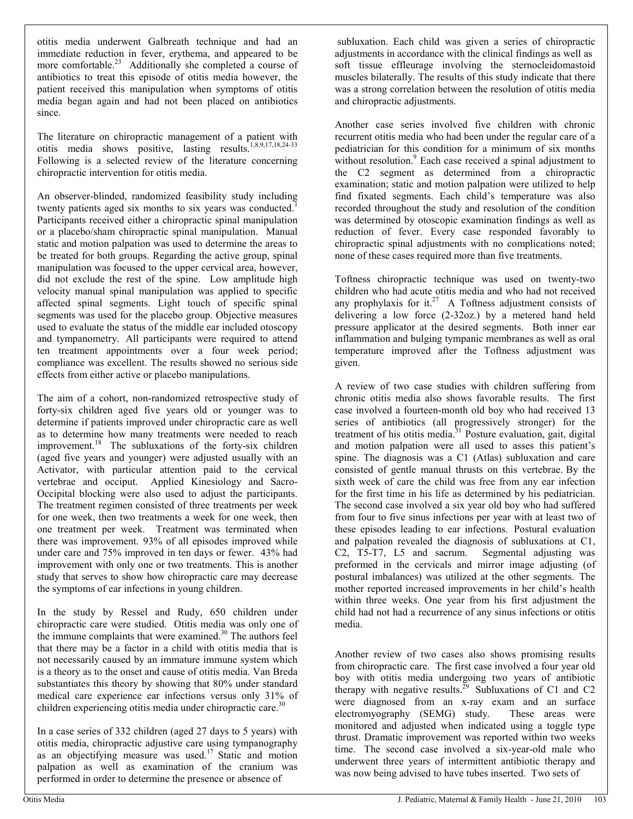otitis media underwent Galbreath technique and had an immediate reduction in fever, erythema, and appeared to be more comfortable.<sup>23</sup> Additionally she completed a course of antibiotics to treat this episode of otitis media however, the patient received this manipulation when symptoms of otitis media began again and had not been placed on antibiotics since.

The literature on chiropractic management of a patient with otitis media shows positive, lasting results.1,8,9,17,18,24-33 Following is a selected review of the literature concerning chiropractic intervention for otitis media.

An observer-blinded, randomized feasibility study including twenty patients aged six months to six years was conducted.<sup>1</sup> Participants received either a chiropractic spinal manipulation or a placebo/sham chiropractic spinal manipulation. Manual static and motion palpation was used to determine the areas to be treated for both groups. Regarding the active group, spinal manipulation was focused to the upper cervical area, however, did not exclude the rest of the spine. Low amplitude high velocity manual spinal manipulation was applied to specific affected spinal segments. Light touch of specific spinal segments was used for the placebo group. Objective measures used to evaluate the status of the middle ear included otoscopy and tympanometry. All participants were required to attend ten treatment appointments over a four week period; compliance was excellent. The results showed no serious side effects from either active or placebo manipulations.

The aim of a cohort, non-randomized retrospective study of forty-six children aged five years old or younger was to determine if patients improved under chiropractic care as well as to determine how many treatments were needed to reach improvement.<sup>18</sup> The subluxations of the forty-six children (aged five years and younger) were adjusted usually with an Activator, with particular attention paid to the cervical vertebrae and occiput. Applied Kinesiology and Sacro-Occipital blocking were also used to adjust the participants. The treatment regimen consisted of three treatments per week for one week, then two treatments a week for one week, then one treatment per week. Treatment was terminated when there was improvement. 93% of all episodes improved while under care and 75% improved in ten days or fewer. 43% had improvement with only one or two treatments. This is another study that serves to show how chiropractic care may decrease the symptoms of ear infections in young children.

In the study by Ressel and Rudy, 650 children under chiropractic care were studied. Otitis media was only one of the immune complaints that were examined.<sup>30</sup> The authors feel that there may be a factor in a child with otitis media that is not necessarily caused by an immature immune system which is a theory as to the onset and cause of otitis media. Van Breda substantiates this theory by showing that 80% under standard medical care experience ear infections versus only 31% of children experiencing otitis media under chiropractic care.<sup>30</sup>

In a case series of 332 children (aged 27 days to 5 years) with otitis media, chiropractic adjustive care using tympanography as an objectifying measure was used.<sup>17</sup> Static and motion palpation as well as examination of the cranium was performed in order to determine the presence or absence of

 subluxation. Each child was given a series of chiropractic adjustments in accordance with the clinical findings as well as soft tissue effleurage involving the sternocleidomastoid muscles bilaterally. The results of this study indicate that there was a strong correlation between the resolution of otitis media and chiropractic adjustments.

Another case series involved five children with chronic recurrent otitis media who had been under the regular care of a pediatrician for this condition for a minimum of six months without resolution. $9$  Each case received a spinal adjustment to the C2 segment as determined from a chiropractic examination; static and motion palpation were utilized to help find fixated segments. Each child's temperature was also recorded throughout the study and resolution of the condition was determined by otoscopic examination findings as well as reduction of fever. Every case responded favorably to chiropractic spinal adjustments with no complications noted; none of these cases required more than five treatments.

Toftness chiropractic technique was used on twenty-two children who had acute otitis media and who had not received any prophylaxis for it.<sup>27</sup> A Toftness adjustment consists of delivering a low force (2-32oz.) by a metered hand held pressure applicator at the desired segments. Both inner ear inflammation and bulging tympanic membranes as well as oral temperature improved after the Toftness adjustment was given.

A review of two case studies with children suffering from chronic otitis media also shows favorable results. The first case involved a fourteen-month old boy who had received 13 series of antibiotics (all progressively stronger) for the treatment of his otitis media. $31$  Posture evaluation, gait, digital and motion palpation were all used to asses this patient's spine. The diagnosis was a C1 (Atlas) subluxation and care consisted of gentle manual thrusts on this vertebrae. By the sixth week of care the child was free from any ear infection for the first time in his life as determined by his pediatrician. The second case involved a six year old boy who had suffered from four to five sinus infections per year with at least two of these episodes leading to ear infections. Postural evaluation and palpation revealed the diagnosis of subluxations at C1, C2, T5-T7, L5 and sacrum. Segmental adjusting was preformed in the cervicals and mirror image adjusting (of postural imbalances) was utilized at the other segments. The mother reported increased improvements in her child's health within three weeks. One year from his first adjustment the child had not had a recurrence of any sinus infections or otitis media.

Another review of two cases also shows promising results from chiropractic care. The first case involved a four year old boy with otitis media undergoing two years of antibiotic therapy with negative results.<sup>29</sup> Subluxations of C1 and C2 were diagnosed from an x-ray exam and an surface electromyography (SEMG) study. These areas were monitored and adjusted when indicated using a toggle type thrust. Dramatic improvement was reported within two weeks time. The second case involved a six-year-old male who underwent three years of intermittent antibiotic therapy and was now being advised to have tubes inserted. Two sets of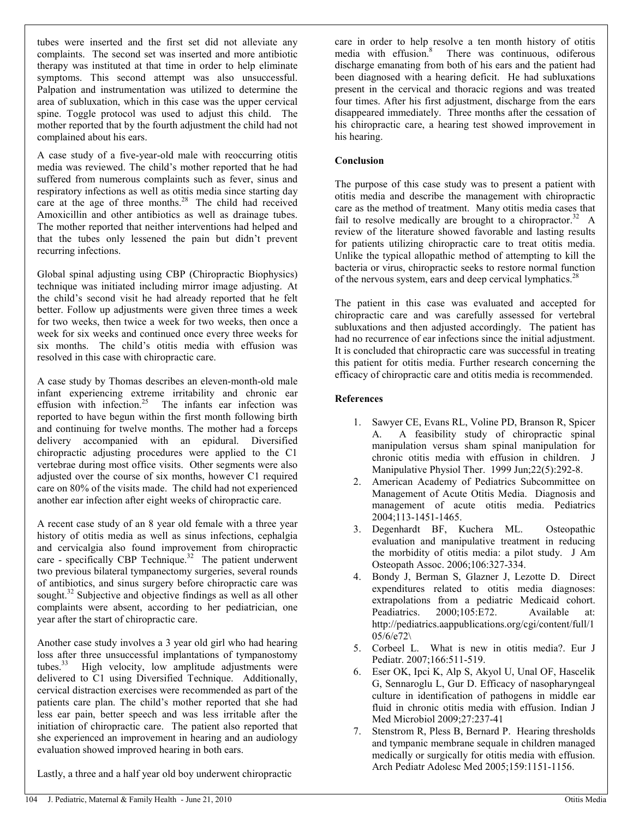tubes were inserted and the first set did not alleviate any complaints. The second set was inserted and more antibiotic therapy was instituted at that time in order to help eliminate symptoms. This second attempt was also unsuccessful. Palpation and instrumentation was utilized to determine the area of subluxation, which in this case was the upper cervical spine. Toggle protocol was used to adjust this child. The mother reported that by the fourth adjustment the child had not complained about his ears.

A case study of a five-year-old male with reoccurring otitis media was reviewed. The child's mother reported that he had suffered from numerous complaints such as fever, sinus and respiratory infections as well as otitis media since starting day care at the age of three months.<sup>28</sup> The child had received Amoxicillin and other antibiotics as well as drainage tubes. The mother reported that neither interventions had helped and that the tubes only lessened the pain but didn't prevent recurring infections.

Global spinal adjusting using CBP (Chiropractic Biophysics) technique was initiated including mirror image adjusting. At the child's second visit he had already reported that he felt better. Follow up adjustments were given three times a week for two weeks, then twice a week for two weeks, then once a week for six weeks and continued once every three weeks for six months. The child's otitis media with effusion was resolved in this case with chiropractic care.

A case study by Thomas describes an eleven-month-old male infant experiencing extreme irritability and chronic ear effusion with infection.<sup>25</sup> The infants ear infection was reported to have begun within the first month following birth and continuing for twelve months. The mother had a forceps delivery accompanied with an epidural. Diversified chiropractic adjusting procedures were applied to the C1 vertebrae during most office visits. Other segments were also adjusted over the course of six months, however C1 required care on 80% of the visits made. The child had not experienced another ear infection after eight weeks of chiropractic care.

A recent case study of an 8 year old female with a three year history of otitis media as well as sinus infections, cephalgia and cervicalgia also found improvement from chiropractic care - specifically CBP Technique.<sup>32</sup> The patient underwent two previous bilateral tympanectomy surgeries, several rounds of antibiotics, and sinus surgery before chiropractic care was sought.<sup>32</sup> Subjective and objective findings as well as all other complaints were absent, according to her pediatrician, one year after the start of chiropractic care.

Another case study involves a 3 year old girl who had hearing loss after three unsuccessful implantations of tympanostomy tubes. $33$  High velocity, low amplitude adjustments were delivered to C1 using Diversified Technique. Additionally, cervical distraction exercises were recommended as part of the patients care plan. The child's mother reported that she had less ear pain, better speech and was less irritable after the initiation of chiropractic care. The patient also reported that she experienced an improvement in hearing and an audiology evaluation showed improved hearing in both ears.

Lastly, a three and a half year old boy underwent chiropractic

care in order to help resolve a ten month history of otitis media with effusion.<sup>8</sup> There was continuous, odiferous discharge emanating from both of his ears and the patient had been diagnosed with a hearing deficit. He had subluxations present in the cervical and thoracic regions and was treated four times. After his first adjustment, discharge from the ears disappeared immediately. Three months after the cessation of his chiropractic care, a hearing test showed improvement in his hearing.

#### **Conclusion**

The purpose of this case study was to present a patient with otitis media and describe the management with chiropractic care as the method of treatment. Many otitis media cases that fail to resolve medically are brought to a chiropractor.<sup>32</sup> A review of the literature showed favorable and lasting results for patients utilizing chiropractic care to treat otitis media. Unlike the typical allopathic method of attempting to kill the bacteria or virus, chiropractic seeks to restore normal function of the nervous system, ears and deep cervical lymphatics.<sup>28</sup>

The patient in this case was evaluated and accepted for chiropractic care and was carefully assessed for vertebral subluxations and then adjusted accordingly. The patient has had no recurrence of ear infections since the initial adjustment. It is concluded that chiropractic care was successful in treating this patient for otitis media. Further research concerning the efficacy of chiropractic care and otitis media is recommended.

#### **References**

- 1. Sawyer CE, Evans RL, Voline PD, Branson R, Spicer A. A feasibility study of chiropractic spinal manipulation versus sham spinal manipulation for chronic otitis media with effusion in children. J Manipulative Physiol Ther. 1999 Jun; 22(5): 292-8.
- 2. American Academy of Pediatrics Subcommittee on Management of Acute Otitis Media. Diagnosis and management of acute otitis media. Pediatrics 2004;113-1451-1465.
- 3. Degenhardt BF, Kuchera ML. Osteopathic evaluation and manipulative treatment in reducing the morbidity of otitis media: a pilot study. J Am Osteopath Assoc. 2006;106:327-334.
- 4. Bondy J, Berman S, Glazner J, Lezotte D. Direct expenditures related to otitis media diagnoses: extrapolations from a pediatric Medicaid cohort. Peadiatrics. 2000;105:E72. Available at: http://pediatrics.aappublications.org/cgi/content/full/1 05/6/e72\
- 5. Corbeel L. What is new in otitis media?. Eur J Pediatr. 2007;166:511-519.
- 6. Eser OK, Ipci K, Alp S, Akyol U, Unal OF, Hascelik G, Sennaroglu L, Gur D. Efficacy of nasopharyngeal culture in identification of pathogens in middle ear fluid in chronic otitis media with effusion. Indian J Med Microbiol 2009;27:237-41
- 7. Stenstrom R, Pless B, Bernard P. Hearing thresholds and tympanic membrane sequale in children managed medically or surgically for otitis media with effusion. Arch Pediatr Adolesc Med 2005;159:1151-1156.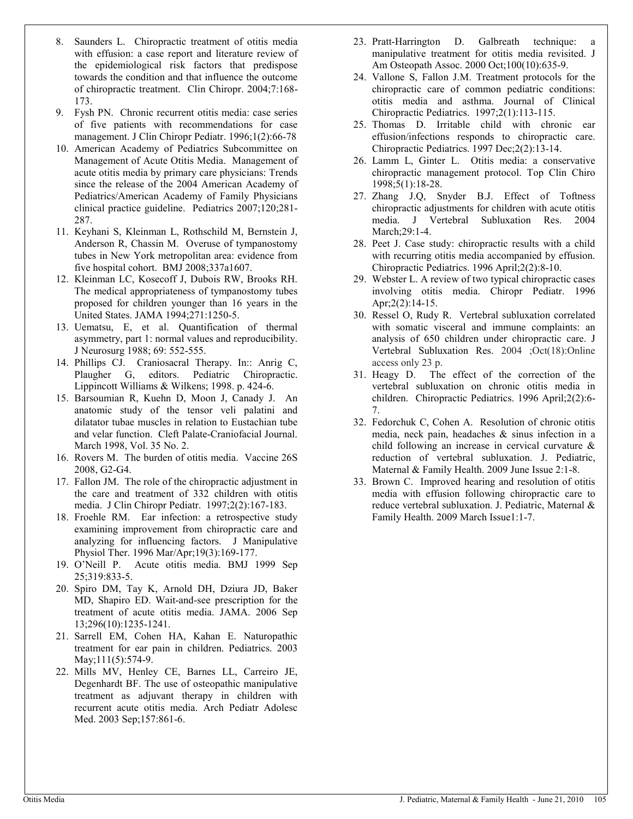- 8. Saunders L. Chiropractic treatment of otitis media with effusion: a case report and literature review of the epidemiological risk factors that predispose towards the condition and that influence the outcome of chiropractic treatment. Clin Chiropr. 2004;7:168- 173.
- 9. Fysh PN. Chronic recurrent otitis media: case series of five patients with recommendations for case management. J Clin Chiropr Pediatr. 1996;1(2):66-78
- 10. American Academy of Pediatrics Subcommittee on Management of Acute Otitis Media. Management of acute otitis media by primary care physicians: Trends since the release of the 2004 American Academy of Pediatrics/American Academy of Family Physicians clinical practice guideline. Pediatrics 2007;120;281- 287.
- 11. Keyhani S, Kleinman L, Rothschild M, Bernstein J, Anderson R, Chassin M. Overuse of tympanostomy tubes in New York metropolitan area: evidence from five hospital cohort. BMJ 2008;337a1607.
- 12. Kleinman LC, Kosecoff J, Dubois RW, Brooks RH. The medical appropriateness of tympanostomy tubes proposed for children younger than 16 years in the United States. JAMA 1994;271:1250-5.
- 13. Uematsu, E, et al. Quantification of thermal asymmetry, part 1: normal values and reproducibility. J Neurosurg 1988; 69: 552-555.
- 14. Phillips CJ. Craniosacral Therapy. In:: Anrig C, Plaugher G, editors. Pediatric Chiropractic. Pediatric Chiropractic. Lippincott Williams & Wilkens; 1998. p. 424-6.
- 15. Barsoumian R, Kuehn D, Moon J, Canady J. An anatomic study of the tensor veli palatini and dilatator tubae muscles in relation to Eustachian tube and velar function. Cleft Palate-Craniofacial Journal. March 1998, Vol. 35 No. 2.
- 16. Rovers M. The burden of otitis media. Vaccine 26S 2008, G2-G4.
- 17. Fallon JM. The role of the chiropractic adjustment in the care and treatment of 332 children with otitis media. J Clin Chiropr Pediatr. 1997;2(2):167-183.
- 18. Froehle RM. Ear infection: a retrospective study examining improvement from chiropractic care and analyzing for influencing factors. J Manipulative Physiol Ther. 1996 Mar/Apr;19(3):169-177.
- 19. O'Neill P. Acute otitis media. BMJ 1999 Sep 25;319:833-5.
- 20. Spiro DM, Tay K, Arnold DH, Dziura JD, Baker MD, Shapiro ED. Wait-and-see prescription for the treatment of acute otitis media. JAMA. 2006 Sep 13;296(10):1235-1241.
- 21. Sarrell EM, Cohen HA, Kahan E. Naturopathic treatment for ear pain in children. Pediatrics. 2003 May;111(5):574-9.
- 22. Mills MV, Henley CE, Barnes LL, Carreiro JE, Degenhardt BF. The use of osteopathic manipulative treatment as adjuvant therapy in children with recurrent acute otitis media. Arch Pediatr Adolesc Med. 2003 Sep;157:861-6.
- 23. Pratt-Harrington D. Galbreath technique: a manipulative treatment for otitis media revisited. J Am Osteopath Assoc. 2000 Oct;100(10):635-9.
- 24. Vallone S, Fallon J.M. Treatment protocols for the chiropractic care of common pediatric conditions: otitis media and asthma. Journal of Clinical Chiropractic Pediatrics. 1997;2(1):113-115.
- 25. Thomas D. Irritable child with chronic ear effusion/infections responds to chiropractic care. Chiropractic Pediatrics. 1997 Dec;2(2):13-14.
- 26. Lamm L, Ginter L. Otitis media: a conservative chiropractic management protocol. Top Clin Chiro 1998;5(1):18-28.
- 27. Zhang J.Q, Snyder B.J. Effect of Toftness chiropractic adjustments for children with acute otitis media. J Vertebral Subluxation Res. 2004 March;29:1-4.
- 28. Peet J. Case study: chiropractic results with a child with recurring otitis media accompanied by effusion. Chiropractic Pediatrics. 1996 April;2(2):8-10.
- 29. Webster L. A review of two typical chiropractic cases involving otitis media. Chiropr Pediatr. 1996 Apr;2(2):14-15.
- 30. Ressel O, Rudy R. Vertebral subluxation correlated with somatic visceral and immune complaints: an analysis of 650 children under chiropractic care. J Vertebral Subluxation Res. 2004 ;Oct(18):Online access only 23 p.
- 31. Heagy D. The effect of the correction of the vertebral subluxation on chronic otitis media in children. Chiropractic Pediatrics. 1996 April;2(2):6- 7.
- 32. Fedorchuk C, Cohen A. Resolution of chronic otitis media, neck pain, headaches & sinus infection in a child following an increase in cervical curvature & reduction of vertebral subluxation. J. Pediatric, Maternal & Family Health. 2009 June Issue 2:1-8.
- 33. Brown C. Improved hearing and resolution of otitis media with effusion following chiropractic care to reduce vertebral subluxation. J. Pediatric, Maternal & Family Health. 2009 March Issue1:1-7.